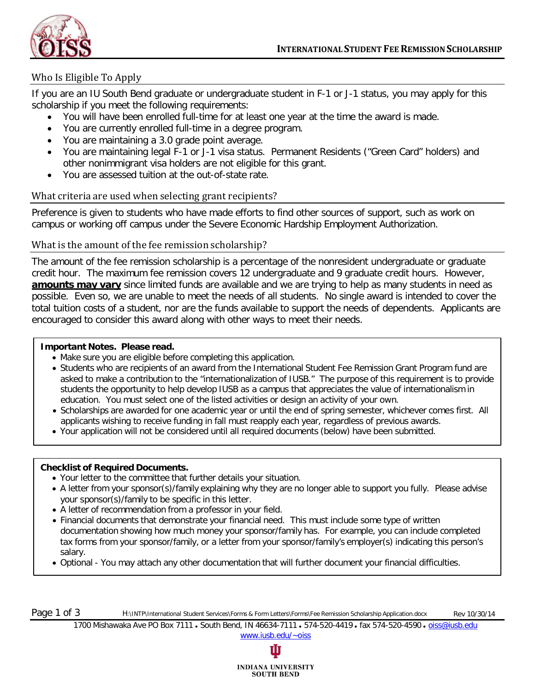

# Who Is Eligible To Apply

If you are an IU South Bend graduate or undergraduate student in F-1 or J-1 status, you may apply for this scholarship if you meet the following requirements:

- You will have been enrolled full-time for at least one year at the time the award is made.
- You are currently enrolled full-time in a degree program.
- You are maintaining a 3.0 grade point average.
- You are maintaining legal F-1 or J-1 visa status. Permanent Residents ("Green Card" holders) and other nonimmigrant visa holders are not eligible for this grant.
- You are assessed tuition at the out-of-state rate.

### What criteria are used when selecting grant recipients?

Preference is given to students who have made efforts to find other sources of support, such as work on campus or working off campus under the Severe Economic Hardship Employment Authorization.

### What is the amount of the fee remission scholarship?

The amount of the fee remission scholarship is a percentage of the nonresident undergraduate or graduate credit hour. The maximum fee remission covers 12 undergraduate and 9 graduate credit hours. However, **amounts may vary** since limited funds are available and we are trying to help as many students in need as possible. Even so, we are unable to meet the needs of all students. No single award is intended to cover the total tuition costs of a student, nor are the funds available to support the needs of dependents. Applicants are encouraged to consider this award along with other ways to meet their needs.

### **Important Notes. Please read.**

- Make sure you are eligible before completing this application.
- Students who are recipients of an award from the International Student Fee Remission Grant Program fund are asked to make a contribution to the "internationalization of IUSB." The purpose of this requirement is to provide students the opportunity to help develop IUSB as a campus that appreciates the value of internationalism in education. You must select one of the listed activities or design an activity of your own.
- Scholarships are awarded for one academic year or until the end of spring semester, whichever comes first. All applicants wishing to receive funding in fall must reapply each year, regardless of previous awards.
- Your application will not be considered until all required documents (below) have been submitted.

#### **Checklist of Required Documents.**

- Your letter to the committee that further details your situation.
- A letter from your sponsor(s)/family explaining why they are no longer able to support you fully. Please advise your sponsor(s)/family to be specific in this letter.
- A letter of recommendation from a professor in your field.
- Financial documents that demonstrate your financial need. This must include some type of written documentation showing how much money your sponsor/family has. For example, you can include completed tax forms from your sponsor/family, or a letter from your sponsor/family's employer(s) indicating this person's salary.
- Optional You may attach any other documentation that will further document your financial difficulties.

Page 1 of 3 H:\INTP\International Student Services\Forms & Form Letters\Forms\Fee Remission Scholarship Application.docx Rev 10/30/14

1700 Mishawaka Ave PO Box 7111 . South Bend, IN 46634-7111 . 574-520-4419 . fax 574-520-4590 . [oiss@iusb.edu](mailto:oiss@iusb.edu) [www.iusb.edu/~oiss](http://www.iusb.edu/~oiss)

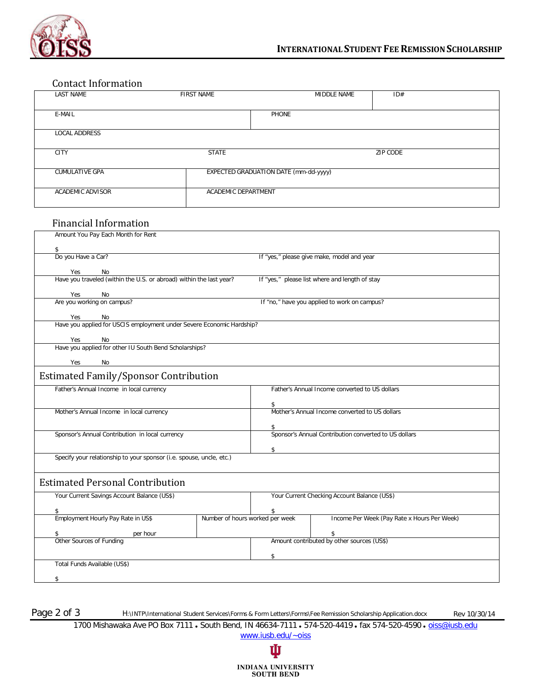

## Contact Information

| LAST NAME             | <b>FIRST NAME</b>   | MIDDLE NAME                           | ID#             |  |
|-----------------------|---------------------|---------------------------------------|-----------------|--|
|                       |                     |                                       |                 |  |
| E-MAIL                |                     | PHONE                                 |                 |  |
|                       |                     |                                       |                 |  |
| LOCAL ADDRESS         |                     |                                       |                 |  |
|                       |                     |                                       |                 |  |
| <b>CITY</b>           | <b>STATE</b>        |                                       | <b>ZIP CODE</b> |  |
|                       |                     |                                       |                 |  |
| <b>CUMULATIVE GPA</b> |                     | EXPECTED GRADUATION DATE (mm-dd-yyyy) |                 |  |
|                       |                     |                                       |                 |  |
| ACADEMIC ADVISOR      | ACADEMIC DEPARTMENT |                                       |                 |  |
|                       |                     |                                       |                 |  |

## Financial Information

| Amount You Pay Each Month for Rent                                                        |                                       |                                                                      |  |  |  |
|-------------------------------------------------------------------------------------------|---------------------------------------|----------------------------------------------------------------------|--|--|--|
|                                                                                           |                                       |                                                                      |  |  |  |
| \$<br>Do you Have a Car?                                                                  |                                       |                                                                      |  |  |  |
|                                                                                           |                                       | If "yes," please give make, model and year                           |  |  |  |
|                                                                                           |                                       |                                                                      |  |  |  |
| Yes No<br>Have you traveled (within the U.S. or abroad) within the last year?             |                                       | If "yes," please list where and length of stay                       |  |  |  |
|                                                                                           |                                       |                                                                      |  |  |  |
| Yes<br>No<br>Are you working on campus?                                                   |                                       | If "no," have you applied to work on campus?                         |  |  |  |
|                                                                                           |                                       |                                                                      |  |  |  |
| Yes<br>No<br>res<br>Have you applied for USCIS employment under Severe Economic Hardship? |                                       |                                                                      |  |  |  |
|                                                                                           |                                       |                                                                      |  |  |  |
| Yes<br>No                                                                                 |                                       |                                                                      |  |  |  |
| res NO<br>Have you applied for other IU South Bend Scholarships?                          |                                       |                                                                      |  |  |  |
| Yes<br>No                                                                                 |                                       |                                                                      |  |  |  |
|                                                                                           |                                       |                                                                      |  |  |  |
| <b>Estimated Family/Sponsor Contribution</b>                                              |                                       |                                                                      |  |  |  |
| Father's Annual Income in local currency                                                  |                                       | Father's Annual Income converted to US dollars                       |  |  |  |
|                                                                                           |                                       |                                                                      |  |  |  |
| Mother's Annual Income in local currency                                                  |                                       | \$<br>Mother's Annual Income converted to US dollars                 |  |  |  |
|                                                                                           |                                       |                                                                      |  |  |  |
|                                                                                           |                                       |                                                                      |  |  |  |
| Sponsor's Annual Contribution in local currency                                           |                                       | <b>&gt;</b><br>Sponsor's Annual Contribution converted to US dollars |  |  |  |
|                                                                                           | \$                                    |                                                                      |  |  |  |
| Specify your relationship to your sponsor (i.e. spouse, uncle, etc.)                      |                                       |                                                                      |  |  |  |
|                                                                                           |                                       |                                                                      |  |  |  |
|                                                                                           |                                       |                                                                      |  |  |  |
| <b>Estimated Personal Contribution</b>                                                    |                                       |                                                                      |  |  |  |
| Your Current Savings Account Balance (US\$)                                               |                                       | Your Current Checking Account Balance (US\$)                         |  |  |  |
|                                                                                           |                                       |                                                                      |  |  |  |
| Employment Hourly Pay Rate in US\$                                                        | \$<br>Number of hours worked per week | Income Per Week (Pay Rate x Hours Per Week)                          |  |  |  |
|                                                                                           |                                       |                                                                      |  |  |  |
| per hour<br>\$<br>Other Sources of Funding                                                |                                       | \$<br>Amount contributed by other sources (US\$)                     |  |  |  |
|                                                                                           |                                       |                                                                      |  |  |  |
|                                                                                           | \$                                    |                                                                      |  |  |  |
| Total Funds Available (US\$)                                                              |                                       |                                                                      |  |  |  |
|                                                                                           |                                       |                                                                      |  |  |  |
| \$                                                                                        |                                       |                                                                      |  |  |  |

Page 2 of 3 H:\INTP\International Student Services\Forms & Form Letters\Forms\Fee Remission Scholarship Application.docx Rev 10/30/14

1700 Mishawaka Ave PO Box 7111 . South Bend, IN 46634-7111 . 574-520-4419 . fax 574-520-4590 . [oiss@iusb.edu](mailto:oiss@iusb.edu) [www.iusb.edu/~oiss](http://www.iusb.edu/~oiss)